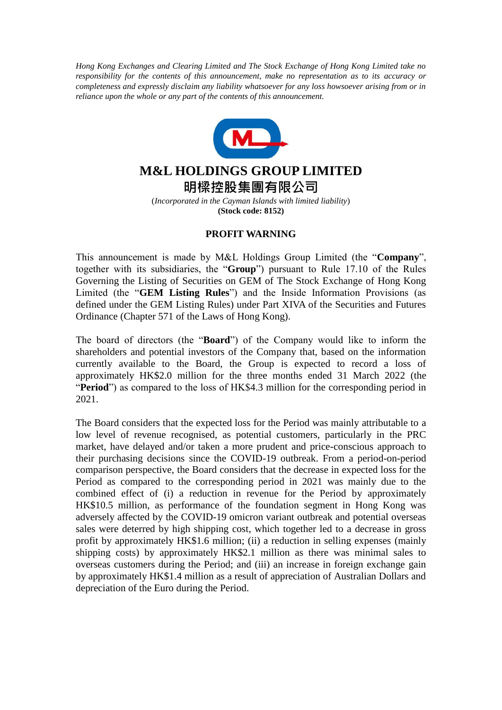*Hong Kong Exchanges and Clearing Limited and The Stock Exchange of Hong Kong Limited take no responsibility for the contents of this announcement, make no representation as to its accuracy or completeness and expressly disclaim any liability whatsoever for any loss howsoever arising from or in reliance upon the whole or any part of the contents of this announcement.*



## **M&L HOLDINGS GROUP LIMITED**

**明樑控股集團有限公司**

(*Incorporated in the Cayman Islands with limited liability*) **(Stock code: 8152)**

## **PROFIT WARNING**

This announcement is made by M&L Holdings Group Limited (the "**Company**", together with its subsidiaries, the "**Group**") pursuant to Rule 17.10 of the Rules Governing the Listing of Securities on GEM of The Stock Exchange of Hong Kong Limited (the "**GEM Listing Rules**") and the Inside Information Provisions (as defined under the GEM Listing Rules) under Part XIVA of the Securities and Futures Ordinance (Chapter 571 of the Laws of Hong Kong).

The board of directors (the "**Board**") of the Company would like to inform the shareholders and potential investors of the Company that, based on the information currently available to the Board, the Group is expected to record a loss of approximately HK\$2.0 million for the three months ended 31 March 2022 (the "**Period**") as compared to the loss of HK\$4.3 million for the corresponding period in 2021.

The Board considers that the expected loss for the Period was mainly attributable to a low level of revenue recognised, as potential customers, particularly in the PRC market, have delayed and/or taken a more prudent and price-conscious approach to their purchasing decisions since the COVID-19 outbreak. From a period-on-period comparison perspective, the Board considers that the decrease in expected loss for the Period as compared to the corresponding period in 2021 was mainly due to the combined effect of (i) a reduction in revenue for the Period by approximately HK\$10.5 million, as performance of the foundation segment in Hong Kong was adversely affected by the COVID-19 omicron variant outbreak and potential overseas sales were deterred by high shipping cost, which together led to a decrease in gross profit by approximately HK\$1.6 million; (ii) a reduction in selling expenses (mainly shipping costs) by approximately HK\$2.1 million as there was minimal sales to overseas customers during the Period; and (iii) an increase in foreign exchange gain by approximately HK\$1.4 million as a result of appreciation of Australian Dollars and depreciation of the Euro during the Period.